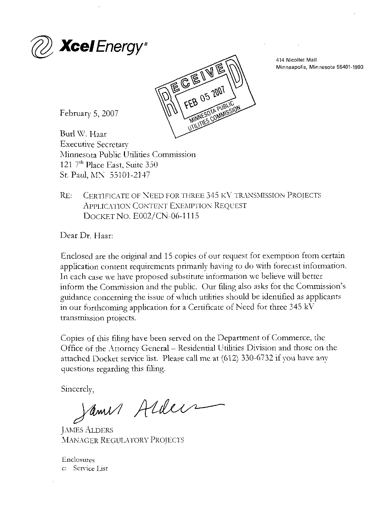



414 Nicollet Mall Minneapolis, Minnesota 55401-1993

February 5, 2007

Burl W. Haar Executive Secretary Minnesota Public Utilities Commission 121 <sup>7th</sup> Place East, Suite 350 St. Paul, MX 55101-2147

RE: CERTIFICATE OF NEED FOR THREE 345 KV TRANSMISSION PROJECTS APPLICATION CONTENT EXEMPTION REQUEST DOCKET No. E002/CN-06-1115

Dear Dr. Haar:

Enclosed are the original and 15 copies of our request for exemption from certain application content requirements primarily having to do with forecast information. In each case we have proposed substitute information we believe will better inform the Commission and the public. Our filing also asks for the Commission's guidance concerning the issue of which utilities should be identified as applicants in our forthcoming application for a Certificate of Need for three 345 kV transmission projects.

Copies of this filing have been served on the Department of Commerce, the Office of the Attorney General - Residential Utilities Division and those on the attached Docket service list. Please call me at (612) 330-6732 if you have any questions regarding this filing.

Sincerely,<br>Samus Aldeis

JAMES ALDERS MANAGER REGULATORY PROJECTS

Enclosures c: Scmce List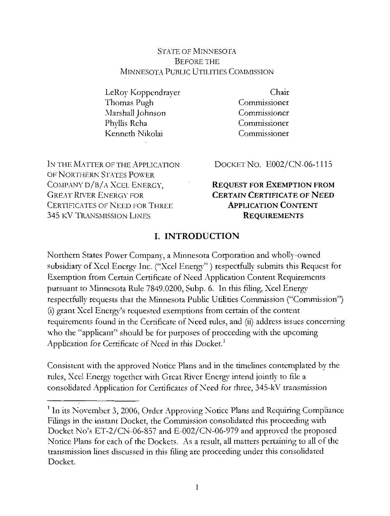#### STATE OF MINNESOTA BEFORE THE MINNESOTA PUBLIC UTILITIES COMMISSION

LeRoy Koppcndrayer Thomas Pugh Marshall Johnson PhyUis Rcha Kenneth Nikolai

Chair Commissioner **Commissioner** Commissioner Commissioner

IN THE MATTER OF THE APPLICATION OF NORTHERN STATES POWER COMPANY D/B/A XCEL ENERGY, GREAT RIVER ENERGY FOR CERTIFICATES OF NEED FOR THREE 345 KV TRANSMISSION LINES

DOCKET No. E002/CN-06-1115

### REQUEST FOR EXEMPTION FROM CERTAIN CERTIFICATE OF NEED APPLICATION CONTENT **REQUIREMENTS**

### I. INTRODUCTION

Northern States Power Company, a Minnesota Corporation and wholly-owned subsidiary of Xcel Energy Inc. ("Xcel Energy" ) respectfully submits this Request for Exemption from Certain Certificate of Need Application Content Requirements pursuant to Minnesota Rule 7849.0200, Subp. 6. In this filing, Xcel Energy respectfully requests that the Minnesota Public Utilities Commission ("Commission") (i) grant Xcel Energy's requested exemptions from certain of the content requirements found in the Certificate of Need rules, and (ii) address issues concerning who the "applicant" should be for purposes of proceeding with the upcoming Application for Certificate of Need in this Docket.<sup>1</sup>

Consistent with the approved Notice Plans and in the timelines contemplated by the rules, Xcel Energy together with Great River Energy intend jointly to file a consolidated Application for Certificates of Need for three, 345-kV transmission

<sup>&</sup>lt;sup>1</sup> In its November 3, 2006, Order Approving Notice Plans and Requiring Compliance Filings in the instant Docket, the Commission consolidated this proceeding with Docket No's ET-2/CN-06-S57 and E-002/CN-06-979 and approved the proposed Notice Plans for each of the Dockets. As a result, all matters pertaining to all of the transmission lines discussed in this filing are proceeding under this consolidated Docket.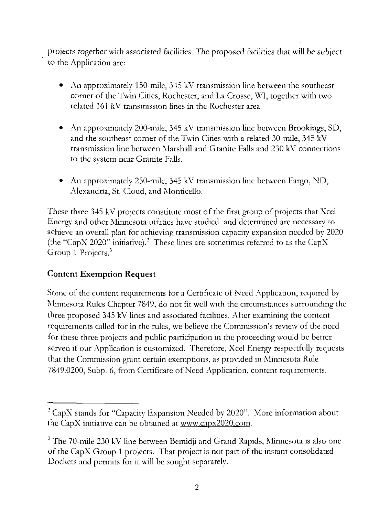projects together with associated facilities. The proposed facilities that will be subject to the Application are:

- An approximately 150-mile, 345 kV transmission line between the southeast corner of the Twin Cities, Rochester, and La Crosse. WI, together with two related 161 kV transmission lines in the Rochester area.
- An approximately 200-mile, 345 kV transmission line between Brookings, SD, and the southeast corner of the Twin Cities with a related 30-mile, 345 kV transmission line between Marshall and Granite Falls and 230 kV connections to the system near Granite Falls.
- An approximately 250-mile, 345 kV transmission line between Fargo, ND, Alexandria, St. Cloud, and Monticello.

These three 345 kV projects constitute most of the first group of projects that Xcel Energy and other Minnesota utilities have studied and determined arc necessary to achieve an overall plan for achieving transmission capacity expansion needed by 2020 (the "CapX 2020" initiative). $^2$  These lines are sometimes referred to as the CapX Group 1 Projects. $3$ 

### Content Exemption Request

Some of the content requirements for a Certificate of Need Application, required by Minnesota Rules Chapter 7849, do not fit well with the circumstances surrounding the three proposed 345 kV lines and associated facilities. After examining the content requirements called for in the rules, we believe the Commission's review of the need for these three projects and public participation in the proceeding would be better served if our Application is customized. Therefore, Xcel Energy respectfully requests that die Commission grant certain exemptions, as provided in Minnesota Rule 7849.0200, Subp. 6, from Certificate of Need Application, content requirements.

<sup>&</sup>lt;sup>2</sup> CapX stands for "Capacity Expansion Needed by 2020". More information about the CapX initiative can be obtained at www.capx202Q.com.

 $3$  The 70-mile 230 kV line between Bemidji and Grand Rapids, Minnesota is also one of die CapX Group 1 projects. That project is not part of the instant consolidated Dockets and permits for it will be sought separately.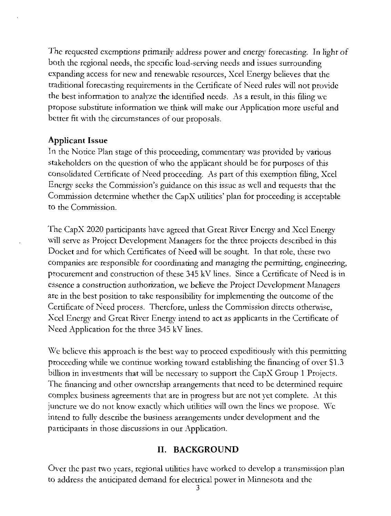The requested exemptions primarily address power and energy forecasting. In light of both the regional needs, the specific load-serving needs and issues surrounding expanding access for new and renewable resources, Xccl Energy believes that the traditional forecasting requirements in the Certificate of Need rules will not provide the best information to analyze the identified needs. As a result, in this filing  $\rm{wc}$ propose substitute information we think will make our Application more useful and better fit with the circumstances of our proposals.

#### Applicant Issue

In the Notice Plan stage of this proceeding, commentary was provided by various stakeholders on the question of who the applicant should be for purposes of this consolidated Certificate of Need proceeding. As part of this exemption filing, Xcel Energy seeks the Commission's guidance on this issue as well and requests that: the Commission determine whether the CapX utilities' plan for proceeding is acceptable to the Commission.

The CapX 2020 participants have agreed that Great River Energy and Xccl Energy will serve as Project Development Managers for the three projects described in this Docket and for which Certificates of Need will be sought. In that role, these two companies are responsible for coordinating and managing the permitting, engineering, procurement and construction of these 345 kV lines. Since a Certificate of Need is in essence a construction authorization, we believe the Project Development Managers are in the best position to take responsibility for implementing the outcome of the Certificate of Need process. Therefore, unless die Commission directs otherwise, Xcel Energy and Great River Energy intend to act as applicants in the Certificate of Need Application for the three 345 kV lines.

We believe this approach is the best way to proceed expeditiously with this permitting proceeding while we continue working toward establishing the financing of over SI .3 billion in investments that will be necessary to support the CapX Group 1 Projects. The financing and other ownership arrangements that need to be determined require complex business agreements that are in progress but are not yet complete. At this juncture we do not know exactly which utilities will own the lines we propose. We intend to fully describe the business arrangements under development and the participants in those discussions in our Application.

### II. BACKGROUND

Over the past two years, regional utilities have worked to develop a transmission plan to address the anticipated demand for electrical power in Minnesota and the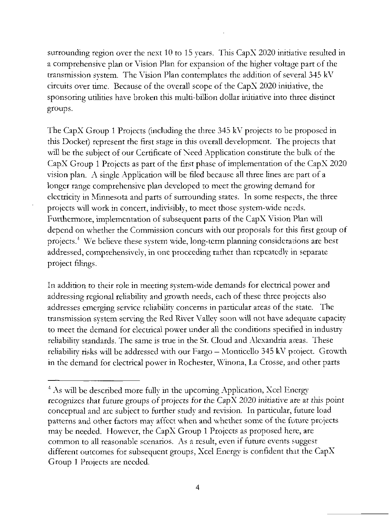surrounding region over the next 10 to 15 years. This CapX 2020 initiative resulted in a comprehensive plan or Vision Plan for expansion of the higher voltage part of the transmission system. The Vision Plan contemplates the addition of several 345 kV circuits over time. Because of the overall scope of the CapX 2020 initiative, the sponsoring utilities have broken this multi-billion dollar initiative into three distinct groups.

The CapX Group 1 Projects (including the three 345 kV projects to be proposed in this Docket) represent the first stage in this overall development. The projects that will be the subject of our Certificate of Need Application constitute the bulk of the CapX Group 1 Projects as part of the first phase of implementation of the CapX 2020 vision plan. A single Application will be filed because all three lines are part of a longer range comprehensive plan developed to meet the growing demand for electricity in Minnesota and parts of surrounding states. In some respects, the three projects will work in concert, indivisibly, to meet those system-wide needs. Furthermore, implementation of subsequent parts of the CapX Vision Plan will depend on whether the Commission concurs with our proposals for this first group of projects.<sup>4</sup> We believe these system wide, long-term planning considerations are best addressed, comprehensively, in one proceeding rather than repeatedly in separate project filings.

In addition to their role in meeting system-wide demands for electrical power and addressing regional reliability and growth needs, each of these three projects also addresses emerging service reliability concerns in particular areas of the state. The transmission system serving the Red River Valley soon will not have adequate capacity to meet the demand for electrical power under all the conditions specified in industryreliability standards. The same is true in the St. Cloud and Alexandria axeas. These reliability risks will be addressed with our Fargo — Monticello 345 kV project. Growth in the demand for electrical power in Rochester, Winona, La Crosse, and other parts

<sup>&</sup>lt;sup>4</sup> As will be described more fully in the upcoming Application, Xcel Energy recognizes that future groups of projects for the CapX 2020 initiative are at this point conceptual and arc subject to further study and revision. In particular, future load patterns and other factors may affect when and whether some of the future projects may be needed. However, the CapX Group 1 Projects as proposed here, are common to all reasonable scenarios. As a result, even if future events suggest different outcomes for subsequent groups, Xcel Energy is confident that the CapX Group 1 Projects are needed.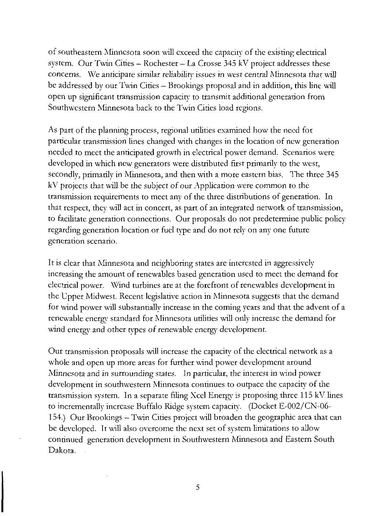of southeastern Minnesota soon will exceed the capacity of the existing electrical system. Our Twin Cities – Rochester – La Crosse 345 kV project addresses these concerns. We anticipate similar reliability issues in west central Minnesota that will be addressed by our Twin Cities - Brookings proposal and in addition, this line will open up significant transmission capacity to transmit additional generation from Southwestern Minnesota back to the Twin Cities load regions.

As part of the planning process, regional utilities examined how the need for particular transmission lines changed with changes in the location of new generation needed to meet the anticipated growth in electrical power demand. Scenarios were developed in which new generators were distributed first primarily to the west, secondly, primarily in Minnesota, and then with a more eastern bias. The three 345 kV projects thar will be the subject of our Application were common to die transmission requirements to meet any of the three distributions of generation. In that respect, they will act in concert, as part of an integrated network of transmission, to facilitate generation connections. Our proposals do not predetermine public policy regarding generation location or fuel type and do not rely on any one future generation scenario.

It is clear that Minnesota and neighboring states are interested in aggressively increasing the amount of renewables based generation used to meet the demand for electrical power. Wind turbines are at the forefront of renewables development in the Upper Midwest. Recent legislative action in Minnesota suggests that the demand for wind power will substantially increase in the coming years and that the advent of a renewable energy standard for Minnesota utilities will only increase the demand for wind energy and other types of renewable energy development.

Our transmission proposals will increase the capacity of the electrical network as a whole and open up more areas for further wind power development around Minnesota and in surrounding states. In particular, the interest in wind power development in southwestern Minnesota continues to outpace the capacity of the transmission system. In a separate filing Xccl Energy is proposing three 115 kV lines to incrementally increase Buffalo Ridge system capacity. (Docket E-002/CN-06- 154.) Our Brookings — Twin Cities project will broaden the geographic area that can be developed. It will also overcome the next set of system limitations to allow continued generation development in Southwestern Minnesota and Eastern South Dakota.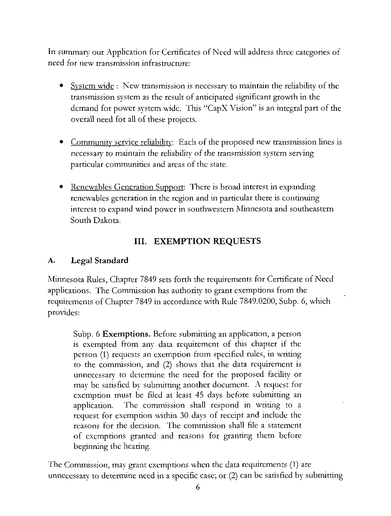In summary our Application for Certificates of Need will address three categories of need for new transmission infrastructure:

- System wide: New transmission is necessary to maintain the reliability of the transmission system as the result of anticipated significant growth in die demand for power system wide. This "CapX Vision" is an integral part of the overall need for all of these projects.
- Community service reliability: Each of the proposed new transmission lines is necessary to maintain the reliability of the transmission system serving particular communities and areas of the state.
- Renewables Generation Support: There is broad interest in expanding renewables generation in the region and in particular there is continuing interest to expand wind power in southwestern Minnesota and southeastern South Dakota.

## III. EXEMPTION REQUESTS

## A. Legal Standard

Minnesota Rules, Chapter 7849 sets forth the requirements for Certificate of Need applications. The Commission has authority to grant exemptions from the requirements of Chapter 7849 in accordance with Rule 7849.0200, Subp. 6, which provides:

Subp. 6 Exemptions. Before submitting an application, a person is exempted from any data requirement of this chapter if the person (1) requests an exemption from specified rules, in writing to the commission, and (2) shows that the data requirement is unnecessary to determine the need for the proposed facility or may be satisfied by submitting another document. A request for exemption must be filed at least 45 days before submitting an application. The commission shall respond in writing to a request for exemption within 30 days of receipt and include the reasons for the decision. The commission shall file a statement of exemptions granted and reasons for granting them before beginning the hearing.

The Commission, may grant exemptions when the data requirements (1) are unnecessary to determine need in a specific case; or (2) can be satisfied by submitting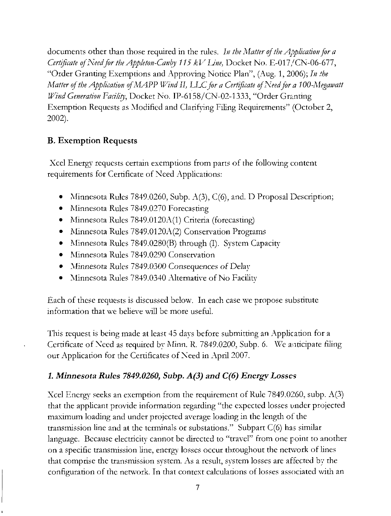documents other than those required in the rules. In the Matter of the Application for a Certificate of Need for the Appleton-Canby 115 kV Line, Docket No. E-017/CN-06-677, "Order Granting Exemptions and Approving Notice Plan'', (Aug. 1, 2006); In the Matter of the Application of MAPP Wind II, LLC for a Certificate of Need for a 100-Megawatt Wind Generation Facility, Docket No. IP-6158/CN-02-1333, "Order Granting Exemption Requests as Modified and Clarifying Filing Requirements'' (October 2, 2002),

## B. Exemption Requests

Xcel Energy requests certain exemptions from parts of the following content requirements for Certificate of Need Applications:

- Minnesota Rules 7849.0260, Subp. A(3), C(6), and. D Proposal Description;
- Minnesota Rules 7849.0270 Forecasting
- Minnesota Rules 7849.0120A(1) Criteria (forecasting)
- Minnesota Rules 7849.0120A(2) Conservation Programs
- Minnesota Rules 7849.0280(B) through (I). System Capacity
- Minnesota Rules 7849.0290 Conservation
- Minnesota Rules 7849.0300 Consequences of Delay
- Minnesota Rules 7849.0340 Alternative of No Facility

Each of these requests is discussed below. In each case we propose substitute information that we believe will be more useful.

This request is being made at least 45 days before submitting an Application for a Certificate of Need as required by Minn. R. 7849.0200, Subp. 6. We anticipate filing our Application for the Certificates of Need in April 2007.

## 1. Minnesota Rules 7849.0260, Subp. A(3) and C(6) Energy Losses

Xcel Energy seeks an exemption from the requirement of Rule 7849.0260, subp. A(3) that the applicant provide information regarding "the expected losses under projected maximum loading and under projected average loading in the length of the transmission line and at the terminals or substations." Subpart  $C(6)$  has similar language. Because electricity cannot be directed to "travel" from one point to another on a specific transmission line, energy losses occur throughout the network of lines that comprise the transmission system. As a result, system losses are affected by the configuration of the network. In that context calculations of losses associated with an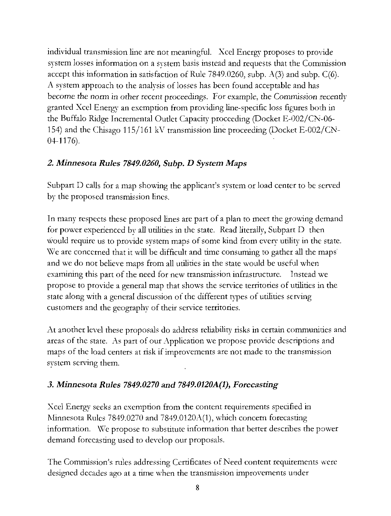individual transmission line are not meaningful. Xcel Energy proposes to provide system losses information on a system basis instead and requests that the Commission accept this information in satisfaction of Rule 7849.0260, subp.  $A(3)$  and subp.  $C(6)$ . A system approach to the analysis of losses has been found acceptable and has become the norm in other recent proceedings. For example, the Commission recently granted Xcel Energy an exemption from providing line-specific loss figures both in the Buffalo Ridge Incremental Outlet Capacity proceeding (Docket E-002/CN-06-154) and the Chisago 115/161 kV transmission line proceeding (Docket E-002/CN-04-1176).

# 2. Minnesota Rules 7849.0260, Subp. D System Maps

Subpart D calls for a map showing the applicant's system or load center to be served by the proposed transmission lines.

In many respects these proposed lines are part of a plan to meet the growing demand for power experienced by all utilities in the state. Read literally, Subpart D then would require us to provide system maps of some kind from every utility in the state. We are concerned that it will be difficult and time consuming to gather all the maps" and we do not believe maps from all utilities in the state would be useful when examining this part of the need for new transmission infrastructure. Instead we propose to provide a general map that shows the service territories of utilities in the state along with a general discussion of the different types of utilities serving customers and the geography of their service territories.

At another level these proposals do address reliability risks in certain communities and areas of die state. As part of our Application we propose provide descriptions and maps of the load centers at risk if improvements are not made to the transmission system serving them.

## 3. Minnesota Rules 7849.0270 and 7849.0120A(1), Forecasting

Xcel Energy seeks an exemption from the content requirements specified in Minnesota Rules 7849.0270 and 7S49.0120A(1). which concern forecasting information. We propose to substitute information that better describes the power demand forecasting used to develop our proposals.

The Commission's rules addressing Certificates of Need content requirements were designed decades ago at a time when the transmission improvements under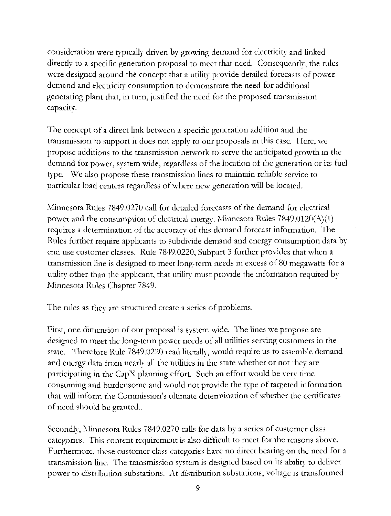consideration were typically driven by growing demand for electricity and linked direcdy to a specific generation proposal to meet that need. Consequendy, the rules were designed around the concept that a utility provide detailed forecasts of power demand and electricity consumption to demonstrate the need for additional generating plant that, in turn, justified the need for the proposed transmission capacity.

The concept of a direct link between a specific generation addition and the transmission to support it does not apply to our proposals in this case. Here, we propose additions to the transmission network to serve the anticipated growth in the demand for power, system wide, regardless of the location of the generation or its fuel type. We also propose these transmission lines to maintain reliable service to particular load centers regardless of where new generation will be located.

Minnesota Rules 7849.0270 call for detailed forecasts of the demand for electrical power and the consumption of electrical energy. Minnesota Rules  $7849.0120(A)(1)$ requires a determination of the accuracy of this demand forecast information. The Rules further require applicants to subdivide demand and energy consumption data by end use customer classes. Rule 7849.0220, Subpart 3 further provides that when a transmission line is designed to meet long-term needs in excess of 80 megawatts for a utility other than the applicant, that utility must provide the information required by Minnesota Rules Chapter 7849.

The rules as they are structured create a series of problems.

First, one dimension of our proposal is system wide. The lines we propose are designed to meet the long-term power needs of all utilities serving customers in the state. Therefore Rule 7849.0220 read literally, would require us to assemble demand and energy data from nearly all the utilities in the state whether or not they are participating in the CapX planning effort. Such an effort would be very time consuming and burdensome and would not provide the type of targeted information that will inform the Commission's ultimate determination of whether the certificates of need should be granted..

Secondly, Minnesota Rules 7849.0270 calls for data by a scries of customer class categories. This content requirement is also difficult to meet for the reasons above. Furthermore, these customer class categories have no direct bearing on the need for a transmission line. The transmission system is designed based on its ability to deliver power to distribution substations. At distribution substations, voltage is transformed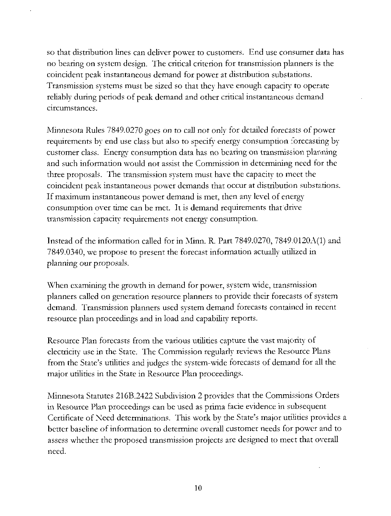so that distribution lines can deliver power to customers. End use consumer data has no bearing on system design. The critical criterion for transmission planners is the coincident peak instantaneous demand for power at distribution substations. Transmission systems must be sized so that they have enough capacity to operate reliably during periods of peak demand and other critical instantaneous demand circumstances,

Minnesota Rules 7849.0270 goes on to call not only for detailed forecasts of power requirements by end use class but also to specify energy consumption forecasting by customer class. Energy consumption data has no bearing on transmission planning and such information would not assist the Commission in determining need for the three proposals. The transmission system must have the capacity to meet the coincident peak instantaneous power demands that occur at distribution substations. If maximum instantaneous power demand is met, then any level of energy consumption over time can be met. It is demand requirements that drive transmission capacity requirements not energy consumption.

Instead of the information caUed for in Minn. R. Part 7849.0270, 7849.0120A(1) and 7849.0340, we propose to present the forecast information actually utilized in planning our proposals.

When examining the growth in demand for power, system wide, transmission planners called on generation resource planners to provide their forecasts of system demand. Transmission planners used system demand forecasts contained in recent resource plan proceedings and in load and capability reports.

Resource Plan forecasts from the various utilities capture the vast majority of electricity use in the State. The Commission regularly reviews the Resource Plans from the State's utilities and judges the system-wide forecasts of demand for all the major utilities in the State in Resource Plan proceedings.

Minnesota Statutes 216B.2422 Subdivision 2 provides that the Commissions Orders in Resource Plan proceedings can be used as prima facie evidence in subsequent Certificate of Need determinations. This work by the State's major utilities provides a better baseline of information to determine overall customer needs for power and to assess whether the proposed transmission projects are designed to meet that overall need.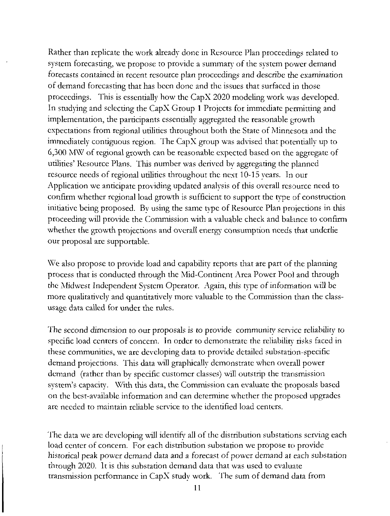Rather than replicate the work already done in Resource Plan proceedings related to system forecasting, we propose to provide a summary of the system power demand forecasts contained in recent resource plan proceedings and describe the examination of demand forecasting that has been done and the issues that surfaced in those proceedings. This is essentially how the CapX 2020 modeling work was developed. In studying and selecting the CapX Group 1 Projects for immediate permitting and implementation, the participants essentially aggregated the reasonable growth expectations from regional utilities throughout both the State of Minnesota and the immediately contiguous region. The CapX group was advised that potentially up to 6,300 MW of regional growth can be reasonable expected based on the aggregate of utilities' Resource Plans. This number was derived bv aggregating the planned resource needs of regional utilities throughout the next 10-15 years. In our Application we anticipate providing updated analysis of this overall resource need to confirm whether regional load growth is sufficient to support the type of construction initiative being proposed. By using the same type of Resource Plan projections in this proceeding will provide the Commission with a valuable check and balance to confirm whether the growth projections and overall energy consumption needs that underlie our proposal are supportable.

We also propose to provide load and capability reports that are part of the planning process that is conducted through the Mid -Continent Area Power Pool and through the Midwest Independent System Operator. Again, this type of information will be more qualitatively and quantitatively more valuable to the Commission than the classusage data called for under the rules.

The second dimension to our proposals is to provide community service reliability to specific load centers of concern. In order to demonstrate the reliability risks faced in these communities, we are developing data to provide detailed substation-specific demand projections. This data will graphically demonstrate when overall power demand (rather than by specific customer classes) will outstrip the transmission system's capacity. With this data, the Commission can evaluate the proposals based on the best-available information and can determine whether the proposed upgrades are needed to maintain reliable service to the identified load centers.

The data we are developing will identify all of the distribution substations serving each load center of concern. For each distribution substation we propose to provide historical peak power demand data and a forecast of power demand at each substation through 2020. It is this substation demand data that was used to evaluate transmission performance in CapX study work. The sum of demand data from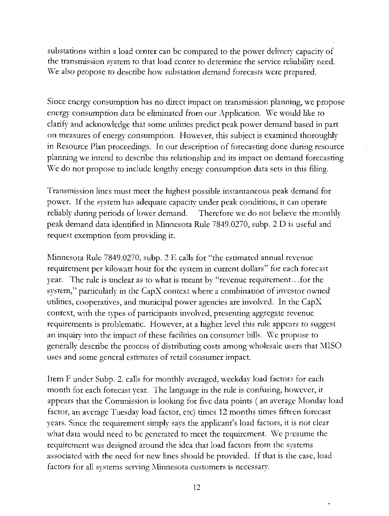substations within a load center can be compared to the power delivery capacity of the transmission system to that load center to determine the service reliability need. We also propose to describe how substation demand forecasts were prepared.

Since energy consumption has no direct impact on transmission planning, we propose energy consumption data be eliminated from our Application. We would like to clarify and acknowledge that some utilities predict peak power demand based in part on measures of energy consumption. However, this subject is examined thoroughly in Resource Plan proceedings. In our description of forecasting done during resource planning we intend to describe this relationship and its impact on demand forecasting We do not propose to include lengthy energy consumption data sets in this filing.

Transmission lines must meet the highest possible instantaneous peak demand for power. If the system has adequate capacity under peak conditions, it can operate reliably during periods of lower demand. Therefore we do not believe the monthly peak demand data identified in Minnesota Rule 7849.0270, subp. 2 D is useful and request exemption from providing it.

Minnesota Rule 7849.0270, subp. 2 E calls for "the estimated annual revenue requirement per kilowatt hour for the system in current dollars" for each forecast year. The rule is unclear as to what is meant by "revenue requirement.. .for the system," particularly in the  $CapX$  context where a combination of investor owned utilities, cooperatives, and municipal power agencies are involved. In the CapX context, with the types of participants involved, presenting aggregate revenue requirements is problematic. However, at a higher level this rule appears to suggest an inquiry into die impact of these facilities on consumer bills. We propose to generally describe the process of distributing costs among wholesale users that MISO uses and some general estimates of retail consumer impact.

Item F under Subp. 2. calls for monthly averaged, weekday load factors for each month for each forecast year. The language in the rule is confusing, however, it appears that the Commission is looking for five data points ( an average Monday load factor, an average Tuesday load factor, etc) times 12 months times fifteen forecast years. Since the requirement simply says the applicant's load factors, it is not clear what data would need to be generated to meet the requirement. We presume the requirement was designed around the idea that load factors from the systems associated with the need for new lines should be provided. If that is the case, load factors for all systems serving Minnesota customers is necessary.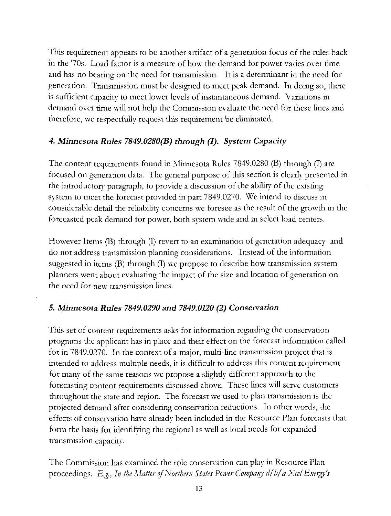This requirement appears to be another artifact of a generation focus of the rules back in the '70s. Load factor is a measure of how the demand for power varies over time and has no bearing on the need for transmission. It is a determinant in the need for generation. Transmission must be designed to meet peak demand. In doing so, there is sufficient capacity to meet lower levels of instantaneous demand. Variations in demand over time will not help die Commission evaluate the need for these lines and therefore, we respectfully request this requirement be eliminated.

### 4. Minnesota Rules 7849.0280(B) through (I). System Capacity

The content requirements found in Minnesota Rules 7849.0280 (B) through (I) arc focused on generation data. The general purpose of this section is clearly presented in the introductory paragraph, to provide a discussion of the ability of the existing system to meet the forecast provided in part 7849.0270. We intend to discuss in considerable detail the reliability concerns we foresee a5 the result of the growth in the forecasted peak demand for power, both system \\ide and in select load centers.

However Items (B) through (I) revert to an examination of generation adequacy and do not address transmission planning considerations. Instead of the information suggested in items (B) through (I) we propose to describe how transmission system planners went about evaluating the impact of the size and location of generation on the need for new transmission lines.

## 5. Minnesota Rules 7849.0290 and 7849.0120 (2) Conservation

This set of content requirements asks for information regarding the conservation programs die applicant has in place and their effect on the forecast information called for in 7849.0270. In the context of a major, multi-line transmission project that is intended to address multiple needs, it is difficult to address this content requirement for many of the same reasons we propose a slightly different approach to the forecasting content requirements discussed above. These lines will serve customers throughout the state and region. The forecast we used to plan transmission is the projected demand after considering conservation reductions. In other words, the effects of conservation have already been included in the Resource Plan forecasts that form the basis for identifying the regional as well as local needs for expanded transmission capacity.

The Commission has examined the role conservation can play in Resource Plan proceedings. E.g., In the Matter of Northern States Power Company d/b/a Xcel Energy's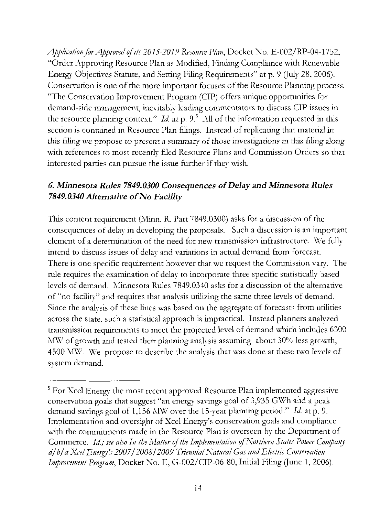Application for Approval of its 2015-2019 Resource Plan, Docket Xo. E-002/RP-04-1752, "Order Approving Resource Plan as Modified, Finding Compliance widi Renewable Energy Objectives Statute, and Setting Filing Requirements" at p. 9 (July 28, 2006). Conservation is one of the more important focuses of the Resource Planning process. "The Conservation Improvement Program (CIP) offers unique opportunities for demand-side management, inevitably leading commentators to discuss CIP issues in the resource planning context." Id. at p. 9.5 All of the information requested in this section is contained in Resource Plan filings. Instead of replicating that material in this filing we propose to present a summary of those investigations in this filing along with references to most recently filed Resource Plans and Commission Orders so that interested parties can pursue the issue further if they wish.

## 6. Minnesota Rules 7849.0300 Consequences of Delay and Minnesota Rules 7849.0340 Alternative of No Facility

This content requirement (Minn. R. Part 7849.0300) asks for a discussion of the consequences of delay in developing the proposals. Such a discussion is an important element of a determination of the need for new transmission infrastructure. We fully intend to discuss issues of delay and variations in actual demand from forecast. There is one specific requirement however that we request the Commission vary. The rule requires the examination of delay to incorporate three specific statistically based levels of demand. Minnesota Rules 7849.0340 asks for a discussion of the alternative of "no facility" and requires that analysis utilizing the same three levels of demand. Since the analysis of these lines was based on the aggregate of forecasts from utilities across the state, such a statistical approach is impractical. Instead planners analyzed transmission requirements to meet the projected level of demand which includes 6300 MW of growth and tested their planning analysis assuming about 30% less growth, 4500 MW. We propose to describe the analysis that was done at these two levels of system demand.

<sup>&</sup>lt;sup>5</sup> For Xcel Energy the most recent approved Resource Plan implemented aggressive conservation goals that suggest "an energy savings goal of 3,935 GWh and a peak demand savings goal of  $1,156$  MW over the 15-year planning period." Id. at p. 9. Implementation and oversight of Xcel Energy's conservation goals and compliance with the commitments made in the Resource Plan is overseen by the Department of Commerce. Id,; see also In the Matter of the Implementation oj Northern States Power Company d/b/a Xcel Energy's 2007/2008/2009 Triennial Natural Gas and Electric Conservation Improvement Program, Docket No. E, G-002/CIP-06-80, Initial Filing (June 1, 2006).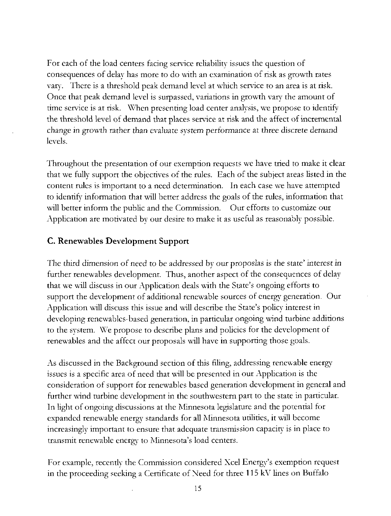For each of the load centers facing service reliability issues the question of consequences of delay has more to do with an examination of risk as growth rates vary. There is a threshold peak demand level at which service to an area is at risk. Once that peak demand level is surpassed, variations in growth vary the amount of time service is at risk. When presenting load center analysis, we propose to identify the threshold level of demand that places service at risk and the affect of incremental change in growth rather than evaluate system performance at three discrete demand levels.

Throughout the presentation of our exemption requests we have tried to make it clear that we fully support the objectives of the rules. Each of the subject areas listed in the content rules is important to a need determination. In each case we have attempted to identify information that will better address the goals of the rules, information that will better inform the public and the Commission. Our efforts to customize our Application are motivated by our desire to make it as useful as reasonably possible.

### C. Renewables Development Support

The third dimension of need to be addressed by our proposlas is the state' interest in further renewables development. Thus, another aspect of the consequences of delay that we will discuss in our Application deals with the State's ongoing efforts to support the development of additional renewable sources of energy generation. Our Application will discuss this issue and will describe the State's policy interest in developing renewables-based generation, in particular ongoing wind turbine additions to the system. We propose to describe plans and policies for the development of renewables and the affect our proposals will have in supporting those goals.

As discussed in the Background section of this filing, addressing renewable energy issues is a specific area of need that will be presented in our Application is the consideration of support for renewables based generation development in general and further wind turbine development in the southwestern part to the state in particular. In light of ongoing discussions at die Minnesota legislature and the potential for expanded renewable energy standards for all Minnesota utilities, it will become increasingly important to ensure that adequate transmission capacity is in place to transmit renewable energy to Minnesota's load centers.

For example, recently the Commission considered Xcel Energy's exemption request in the proceeding seeking a Certificate of Need for three 115 kV lines on Buffalo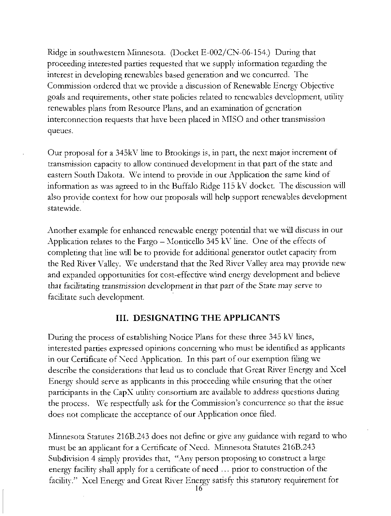Ridge in southwestern Minnesota. (Docket E-002/CN-06-154.) During that proceeding interested parties requested that we supply information regarding the interest in developing renewables based generation and we concurred. The Commission ordered that we provide a discussion of Renewable Energy Objective goals and requirements, other state policies related to renewables development, utility renewables plans from Resource Plans, and an examination of generation interconnection requests that have been placed in MISO and other transmission queues.

Our proposal for a 345kY line to Brookings is, in part, the next major increment of transmission capacity to allow continued development in that part of the state and eastern South Dakota. We intend to provide in our Application the same kind of information as was agreed to in die Buffalo Ridge 115 kV docket. The discussion will also provide context for how our proposals will help support renewables development statewide.

Another example for enhanced renewable energy potential that we will discuss in our Application relates to the Fargo  $-$  Monticello 345 kV line. One of the effects of completing that line will be to provide for additional generator outlet capacity from the Red River Valley. We understand that the Red River Valley area may provide new and expanded opportunities for cost-effective wind energy development and believe that facilitating transmission development in that part of the State may serve to facilitate such development.

#### III. DESIGNATING THE APPLICANTS

During the process of establishing Notice Plans for these three 345 kV lines, interested parties expressed opinions concerning who must be identified as applicants in our Certificate of Need Application. In this part of our exemption filing we describe the considerations that lead us to conclude that Great River Energy and Xcel Energy should serve as applicants in this proceeding while ensuring that the otner participants in the CapX utility consortium are available to address questions during the process. We respectfully ask for the Commission's concurrence so that the issue does not complicate the acceptance of our Application once filed.

Minnesota Statutes 216B.243 does not define or give any guidance with regard to who must be an applicant for a Certificate of Need. Minnesota Statutes 216B.243 Subdivision 4 simply provides that, "Any person proposing to construct a large energy facility shall apply for a certificate of need ... prior to construction of the facility.'" Xcel Energy and Great River Energy satisfy this statutory requirement for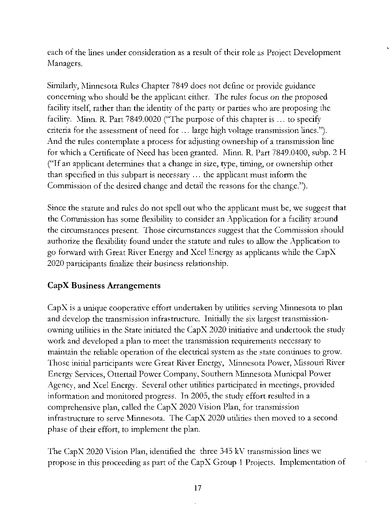each of the lines under consideration as a result of their role as Project Development Managers.

Similarly, Minnesota Rules Chapter 7849 does not define or provide guidance concerning who should be the applicant either. The rules focus on the proposed facility itself, rather than the identity of the party or parties who are proposing the facility. Minn. R. Part 7849.0020 ("The purpose of this chapter is ... to specify criteria for the assessment of need for ... large high voltage transmission lines."). And the rules contemplate a process for adjusting ownership of a transmission line for which a Certificate of Need has been granted. Minn. R. Part 7849.0400, subp. 2 H ("If an applicant determines that a change in size, type, timing, or ownership other than specified in this subpart is necessary ... the applicant must inform the Commission of the desired change and detail the reasons for the change.").

Since the statute and rules do not spell out who the applicant must be, we suggest that the Commission has some flexibility to consider an Application for a facility around the circumstances present. Those circumstances suggest that the Commission should authorize the flexibility found under the statute and rules to allow the Application to go forward with Great River Energy and Xcel Energy as applicants while the CapX 2020 participants finalize their business relationship.

## CapX Business Arrangements

CapX is a unique cooperative effort undertaken by utilities serving Minnesota to plan and develop the transmission infrastructure. Initially the six largest transmissionowning utilities in the State initiated the CapX 2020 initiative and undertook the study work and developed a plan to meet the transmission requirements necessary to maintain the reliable operation of the electrical system as the state continues to grow. Those initial participants were Great River Energy, Minnesota Power, Missouri River Energy Services, Ottertail Power Company, Southern Minnesota Municpal Power Agency, and Xcel Energy. Several other utilities participated in meetings, provided information and monitored progress. In 2005, the study effort resulted in a comprehensive plan, called the CapX 2020 Vision Plan, for transmission infrastructure to serve Minnesota. The CapX 2020 utilities then moved to a second phase of their effort, to implement the plan.

The CapX 2020 Vision Plan, identified the three 345 kV transmission lines we propose in this proceeding as part of the CapX Group 1 Projects. Implementation of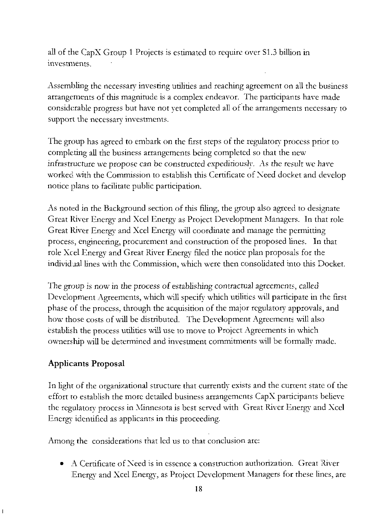all of the CapX Group 1 Projects is estimated to require over SI.3 billion in investments.

Assembling the necessary investing utilities and reaching agreement on all the business arrangements of this magnitude is a complex endeavor. The participants have made considerable progress but have not yet completed all of the arrangements necessary to support the necessary investments.

The group has agreed to embark on the first steps of the regulatory process prior to completing all the business arrangements being completed so that the new infrastructure we propose can be constructed expediriously. As the result we have worked with the Commission to establish this Certificate of Need docket and develop notice plans to facilitate public participation.

As noted in the Background section of this filing, the group also agreed to designate Great River Energy and Xcel Energy as Project Development Managers. In that role Great River Energy and Xcel Energy will coordinate and manage the permitting process, engineering, procurement and construction of the proposed lines. In that role Xcel Energy and Great River Energy filed the notice plan proposals for the individual lines with the Commission, which were then consolidated into this Docket.

The group is now in the process of establishing contractual agreements, called Development Agreements, which will specify which utilities will participate in the first phase of the process, through the acquisition of the major regulatory approvals, and how those costs of wall be distributed. The Development Agreements will also establish the process utilities will use to move to Project Agreements in which ownership will be determined and investment commitments will be formally made.

## Applicants Proposal

In light of the organizational structure that currently exists and the current state of the effort to establish the more detailed business arrangements CapX participants believe the regulatory process in Minnesota is best served with Great River Energy and Xcel Energy identified as applicants in this proceeding.

Among the considerations that led us to that conclusion are:

• A Certificate of Need is in essence a construction authorization. Great River Energy and Xcel Energy, as Project Development Managers for these lines, are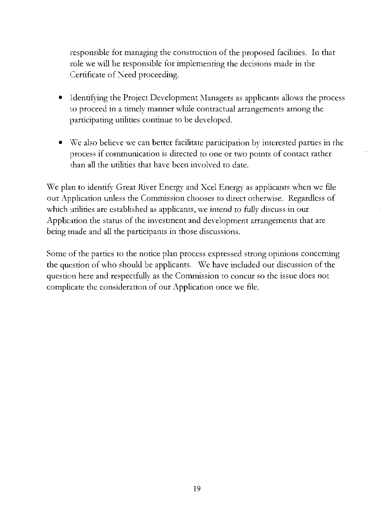responsible for managing the construction of the proposed facilities. In that jrole we will be responsible for implementing the decisions made in the Certificate of Need proceeding.

- Identifying the Project Development Managers as applicants allows the process to proceed in a timely manner while contractual arrangements among the participating utilities continue to be developed.
- We also believe we can better facilitate participation by interested parties in the process if communication is directed to one or two points of contact rather than all the utilities that have been involved to date.

We plan to identify Great River Energy and Xcel Energy as applicants when we file our Application unless the Commission chooses to direct otherwise. Regardless of which utilities are established as applicants, we intend to fully discuss in our Application the status of the investment and development arrangements that are being made and all the participants in those discussions.

Some of the parties to the notice plan process expressed strong opinions concerning the question of who should be applicants. We have included our discussion of the question here and respectfully as the Commission to concur so the issue does not complicate the consideration of our Application once we file.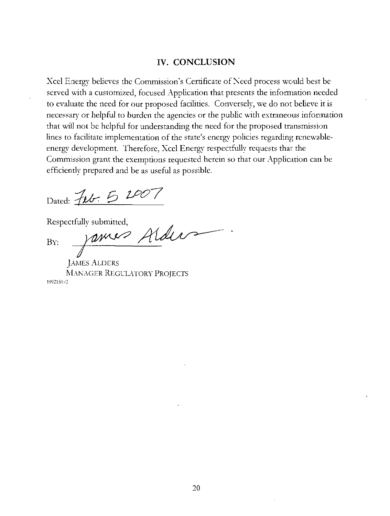#### IV. CONCLUSION

Xcel Energy believes the Commission's Certificate of Need process would best be served with a customized, focused Application that presents the information needed to evaluate the need for our proposed facilities. Conversely, we do not believe it is necessary or helpful to burden the agencies or the public with extraneous information that will not be helpful for understanding the need for the proposed transmission lines to facilitate implementation of the state's energy policies regarding renewableenergy development. Therefore, Xcel Energy respectfully requests that the Commission grant the exemptions requested herein so that our Application can be efficiently prepared and be as useful as possible.

Dated: Feb. 5 2007

Respectfully submitted,

BY. vanus Alder

JAMES ALDERS MANAGER REGULATORY PROJECTS 1992151v2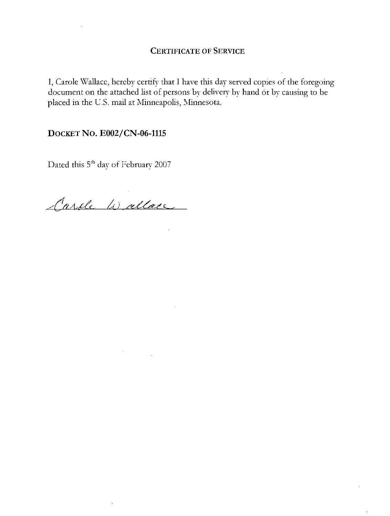I, Carole Wallace, hereby certify that I have this day served copies of the foregoing document on the attached list of persons by delivery by hand or by causing to be placed in the U.S. mail at Minneapolis, Minnesota.

#### DOCKET No. E002/CN-06-1115

Dated this  $5^{\rm{th}}$  day of February 2007

Carole Wallace

 $\bar{\mathcal{A}}$ 

 $\sim$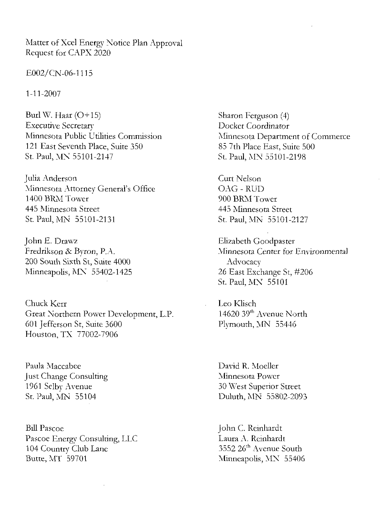Matter of Xcel Energy Notice Plan Approval Request for CAPX 2020

E002/CN-06-1115

1-11-2007

Burl W. Haar  $(O+15)$ Executive Secretary Minnesota Public Utilities Commission 121 East Seventh Place, Suite 350 St. Paul, MX 55101 -2147

Julia Anderson Minnesota Attorney General's Office 1400 BRM Tower 445 Minnesota Street St. Paul, MN 55101-2131

John E. Draw? Fredrikson & Byron, P.A. 200 South Sixth St, Suite 4000 Minneapolis, MN 55402-1425

Chuck Kerr Great Northern Power Development, L.P. 601 Jefferson St, Suite 3600 Houston, TX 77002-7906

Paula Maccabee Just Change Consulting 1961 Selby Avenue St. Paul, MN 55104

BillPascoe Pascoe Energy Consulting, LLC 104 Country Club Lane Butte, MT 59701

Sharon Ferguson (4) Docket Coordinator Minnesota Department of Commerce 85 7th Place East, Suite 500 St Paul, MN 55101-2198

Curt Nelson OAG - RUD 900 BRM Tower 445 Minnesota Street St. Paul, MN 55101-2127

Elizabeth Goodpaster Minnesota Center for Environmental **Advocacy** 26 East Exchange St, #206 St. Paul. MN 55101

Leo Klisch 14620 39<sup>th</sup> Avenue North Plymouth, MN 55446

David R. Moeller Minnesota Power 30 West Superior Street Duluth, MN 55802-2093

John C. Reinhardt Laura A. Reinhardt  $3552\ 26^{\rm th}$  Avenue South Minneapolis, MN 55406